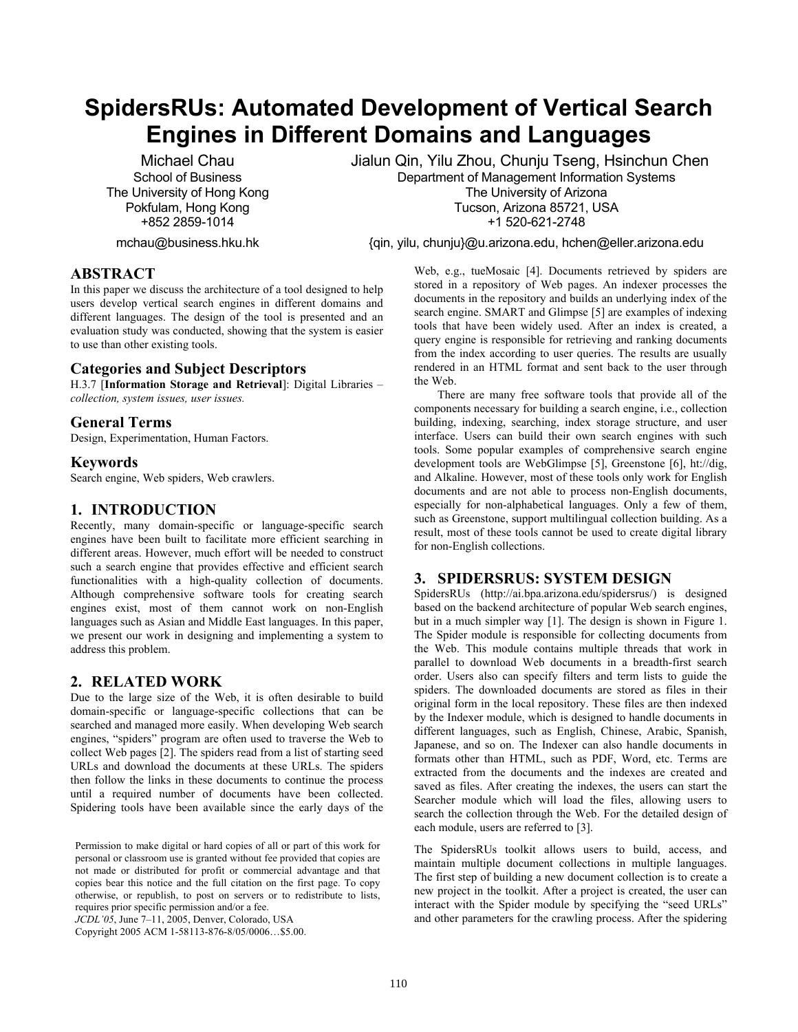# **SpidersRUs: Automated Development of Vertical Search Engines in Different Domains and Languages**

Michael Chau School of Business The University of Hong Kong Pokfulam, Hong Kong +852 2859-1014

mchau@business.hku.hk

 Jialun Qin, Yilu Zhou, Chunju Tseng, Hsinchun Chen Department of Management Information Systems The University of Arizona Tucson, Arizona 85721, USA +1 520-621-2748

{qin, yilu, chunju}@u.arizona.edu, hchen@eller.arizona.edu

### **ABSTRACT**

In this paper we discuss the architecture of a tool designed to help users develop vertical search engines in different domains and different languages. The design of the tool is presented and an evaluation study was conducted, showing that the system is easier to use than other existing tools.

### **Categories and Subject Descriptors**

H.3.7 [**Information Storage and Retrieval**]: Digital Libraries – *collection, system issues, user issues.* 

#### **General Terms**

Design, Experimentation, Human Factors.

#### **Keywords**

Search engine, Web spiders, Web crawlers.

# **1. INTRODUCTION**

Recently, many domain-specific or language-specific search engines have been built to facilitate more efficient searching in different areas. However, much effort will be needed to construct such a search engine that provides effective and efficient search functionalities with a high-quality collection of documents. Although comprehensive software tools for creating search engines exist, most of them cannot work on non-English languages such as Asian and Middle East languages. In this paper, we present our work in designing and implementing a system to address this problem.

# **2. RELATED WORK**

Due to the large size of the Web, it is often desirable to build domain-specific or language-specific collections that can be searched and managed more easily. When developing Web search engines, "spiders" program are often used to traverse the Web to collect Web pages [2]. The spiders read from a list of starting seed URLs and download the documents at these URLs. The spiders then follow the links in these documents to continue the process until a required number of documents have been collected. Spidering tools have been available since the early days of the

Permission to make digital or hard copies of all or part of this work for personal or classroom use is granted without fee provided that copies are not made or distributed for profit or commercial advantage and that copies bear this notice and the full citation on the first page. To copy otherwise, or republish, to post on servers or to redistribute to lists, requires prior specific permission and/or a fee.

*JCDL'05*, June 7–11, 2005, Denver, Colorado, USA

Copyright 2005 ACM 1-58113-876-8/05/0006…\$5.00.

Web, e.g., tueMosaic [4]. Documents retrieved by spiders are stored in a repository of Web pages. An indexer processes the documents in the repository and builds an underlying index of the search engine. SMART and Glimpse [5] are examples of indexing tools that have been widely used. After an index is created, a query engine is responsible for retrieving and ranking documents from the index according to user queries. The results are usually rendered in an HTML format and sent back to the user through the Web.

 There are many free software tools that provide all of the components necessary for building a search engine, i.e., collection building, indexing, searching, index storage structure, and user interface. Users can build their own search engines with such tools. Some popular examples of comprehensive search engine development tools are WebGlimpse [5], Greenstone [6], ht://dig, and Alkaline. However, most of these tools only work for English documents and are not able to process non-English documents, especially for non-alphabetical languages. Only a few of them, such as Greenstone, support multilingual collection building. As a result, most of these tools cannot be used to create digital library for non-English collections.

#### **3. SPIDERSRUS: SYSTEM DESIGN**

SpidersRUs (http://ai.bpa.arizona.edu/spidersrus/) is designed based on the backend architecture of popular Web search engines, but in a much simpler way [1]. The design is shown in Figure 1. The Spider module is responsible for collecting documents from the Web. This module contains multiple threads that work in parallel to download Web documents in a breadth-first search order. Users also can specify filters and term lists to guide the spiders. The downloaded documents are stored as files in their original form in the local repository. These files are then indexed by the Indexer module, which is designed to handle documents in different languages, such as English, Chinese, Arabic, Spanish, Japanese, and so on. The Indexer can also handle documents in formats other than HTML, such as PDF, Word, etc. Terms are extracted from the documents and the indexes are created and saved as files. After creating the indexes, the users can start the Searcher module which will load the files, allowing users to search the collection through the Web. For the detailed design of each module, users are referred to [3].

The SpidersRUs toolkit allows users to build, access, and maintain multiple document collections in multiple languages. The first step of building a new document collection is to create a new project in the toolkit. After a project is created, the user can interact with the Spider module by specifying the "seed URLs" and other parameters for the crawling process. After the spidering